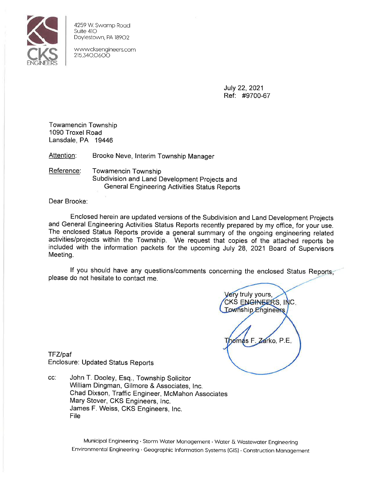

4259 W. Swamp Road Suite 410 Doylestown, PA 18902

www.cksengineers.com 2153400600

> July 22, 2021 Ref: #9700-67

Towamencin Township 1090 Troxel Road Lansdale, PA 19446

Attention: Brooke Neve, Interim Township Manager

Reference: **Towamencin Township** Subdivision and Land Development Projects and **General Engineering Activities Status Reports** 

Dear Brooke:

Enclosed herein are updated versions of the Subdivision and Land Development Projects and General Engineering Activities Status Reports recently prepared by my office, for your use. The enclosed Status Reports provide a general summary of the ongoing engineering related activities/projects within the Township. We request that copies of the attached reports be included with the information packets for the upcoming July 28, 2021 Board of Supervisors Meeting.

If you should have any questions/comments concerning the enclosed Status Reports, please do not hesitate to contact me.

Very truly yours, CKS ENGINEERS, INC. **Township Engineers** Zarko, P.E.

TFZ/paf Enclosure: Updated Status Reports

CC: John T. Dooley, Esq., Township Solicitor William Dingman, Gilmore & Associates, Inc. Chad Dixson, Traffic Engineer, McMahon Associates Mary Stover, CKS Engineers, Inc. James F. Weiss, CKS Engineers, Inc. File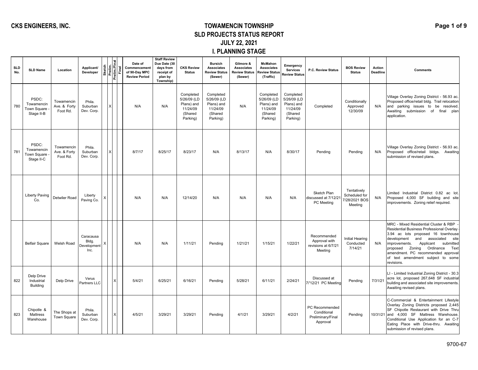#### **CKS ENGINEERS, INC. TOWAMENCIN TOWNSHIP SLD PROJECTS STATUS REPORT JULY 22, 2021 I. PLANNING STAGE**

| <b>SLD</b><br>No. | <b>SLD Name</b>                                  | Location                               | Applicant/<br>Developer                   | Sketch<br>Prelim./Fina<br>Prelim./Final |  | Date of<br>Commencement<br>of 90-Day MPC<br><b>Review Period</b> | <b>Staff Review</b><br>Due Date (30<br>days from<br>receipt of<br>plan by<br>Township) | <b>CKS Review</b><br><b>Status</b>                                        | <b>Bursich</b><br>Associates<br><b>Review Status</b><br>(Sewer)           | Gilmore &<br><b>Associates</b><br><b>Review Status</b><br>(Sewer) | <b>McMahon</b><br>Associates<br><b>Review Status</b><br>(Traffic)         | Emergency<br><b>Services</b><br><b>Review Status</b>                      | P.C. Review Status                                             | <b>BOS Review</b><br><b>Status</b>                      | Action<br><b>Deadline</b> | <b>Comments</b>                                                                                                                                                                                                                                                                                                                          |
|-------------------|--------------------------------------------------|----------------------------------------|-------------------------------------------|-----------------------------------------|--|------------------------------------------------------------------|----------------------------------------------------------------------------------------|---------------------------------------------------------------------------|---------------------------------------------------------------------------|-------------------------------------------------------------------|---------------------------------------------------------------------------|---------------------------------------------------------------------------|----------------------------------------------------------------|---------------------------------------------------------|---------------------------|------------------------------------------------------------------------------------------------------------------------------------------------------------------------------------------------------------------------------------------------------------------------------------------------------------------------------------------|
| 780               | PSDC:<br>Towamencin<br>Town Square<br>Stage II-B | Towamencin<br>Ave. & Forty<br>Foot Rd. | Phila.<br>Suburban<br>Dev. Corp.          |                                         |  | N/A                                                              | N/A                                                                                    | Completed<br>5/26/09 (LD<br>Plans) and<br>11/24/09<br>(Shared<br>Parking) | Completed<br>5/26/09 (LD<br>Plans) and<br>11/24/09<br>(Shared<br>Parking) | N/A                                                               | Completed<br>5/26/09 (LD<br>Plans) and<br>11/24/09<br>(Shared<br>Parking) | Completed<br>5/26/09 (LD<br>Plans) and<br>11/24/09<br>(Shared<br>Parking) | Completed                                                      | Conditionally<br>Approved<br>12/30/09                   | N/A                       | Village Overlay Zoning District - 56.93 ac.<br>Proposed office/retail bldg. Trail relocation<br>and parking issues to be resolved.<br>Awaiting submission of final plan<br>application.                                                                                                                                                  |
| 781               | PSDC:<br>Towamencin<br>Town Square<br>Stage II-C | Towamencin<br>Ave. & Forty<br>Foot Rd. | Phila.<br>Suburban<br>Dev. Corp.          |                                         |  | 8/7/17                                                           | 8/25/17                                                                                | 8/23/17                                                                   | N/A                                                                       | 8/13/17                                                           | N/A                                                                       | 8/30/17                                                                   | Pending                                                        | Pending                                                 | N/A                       | Village Overlay Zoning District - 56.93 ac.<br>Proposed office/retail bldgs. Awaiting<br>submission of revised plans.                                                                                                                                                                                                                    |
|                   | <b>Liberty Paving</b><br>Co.                     | Detwiler Road                          | Liberty<br>Paving Co.                     |                                         |  | N/A                                                              | N/A                                                                                    | 12/14/20                                                                  | N/A                                                                       | N/A                                                               | N/A                                                                       | N/A                                                                       | Sketch Plan<br>discussed at 7/12/21<br>PC Meeting              | Tentatively<br>Scheduled for<br>/28/2021 BOS<br>Meeting | N/A                       | Limited Industrial District 0.82 ac lot.<br>Proposed 4,000 SF building and site<br>improvements. Zoning relief required.                                                                                                                                                                                                                 |
|                   | <b>Belfair Square</b>                            | Welsh Road                             | Caracausa<br>Bldg.<br>Development<br>Inc. |                                         |  | N/A                                                              | N/A                                                                                    | 1/11/21                                                                   | Pending                                                                   | 1/21/21                                                           | 1/15/21                                                                   | 1/22/21                                                                   | Recommended<br>Approval with<br>revisions at 6/7/21<br>Meeting | Initial Hearing<br>Conducted<br>7/14/21                 | N/A                       | MRC - Mixed Residential Cluster & RBP -<br>Residential Business Professional Overlay -<br>3.94 ac lots proposed 16 townhouse<br>associated site<br>development and<br>Applicant<br>submitted<br>improvements.<br>proposed Zoning Ordinance Text<br>amendment. PC recommended approval<br>of text amendment subject to some<br>revisions. |
| 822               | Delp Drive<br>Industrial<br><b>Building</b>      | Delp Drive                             | Verus<br>Partners LLC                     |                                         |  | 5/4/21                                                           | 6/25/21                                                                                | 6/16/21                                                                   | Pending                                                                   | 5/28/21                                                           | 6/11/21                                                                   | 2/24/21                                                                   | Discussed at<br>7/'12/21 PC Meeting                            | Pending                                                 | 7/31/21                   | LI - Limited Industrial Zoning District - 30.3<br>acre lot, proposed 267,648 SF industrial<br>building and associated site improvements.<br>Awaiting revised plans.                                                                                                                                                                      |
| 823               | Chipotle &<br>Mattress<br>Warehouse              | The Shops at<br>Town Square            | Phila.<br>Suburban<br>Dev. Corp.          |                                         |  | 4/5/21                                                           | 3/29/21                                                                                | 3/29/21                                                                   | Pending                                                                   | 4/1/21                                                            | 3/29/21                                                                   | 4/2/21                                                                    | PC Recommended<br>Conditional<br>Preliminary/Final<br>Approval | Pending                                                 | 10/31/21                  | C-Commercial & Entertainment Lifestyle<br>Overlay Zoning Districts proposed 2,445<br>SF Chipotle Restaurant with Drive Thru<br>and 4,000 SF Mattress Warehouse.<br>Conditional Use Application for an C-7<br>Eating Place with Drive-thru. Awaiting<br>submission of revised plans.                                                      |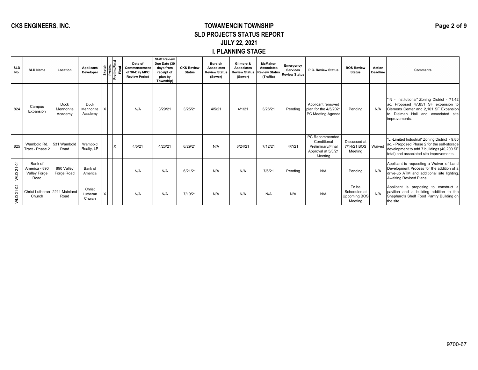#### **CKS ENGINEERS, INC. TOWAMENCIN TOWNSHIP SLD PROJECTS STATUS REPORT JULY 22, 2021 I. PLANNING STAGE**

| <b>SLD</b><br>No. | <b>SLD Name</b>                                         | Location                     | Applicant/<br>Developer      | Sketch<br>Prelim.<br>Prelim./Final<br>Final |  | Date of<br>Commencement<br>of 90-Day MPC<br><b>Review Period</b> | <b>Staff Review</b><br>Due Date (30<br>days from<br>receipt of<br>plan by<br>Township) | <b>CKS Review</b><br><b>Status</b> | <b>Bursich</b><br><b>Associates</b><br><b>Review Status</b><br>(Sewer) | Gilmore &<br><b>Associates</b><br><b>Review Status</b><br>(Sewer) | <b>McMahon</b><br><b>Associates</b><br><b>Review Status</b><br>(Traffic) | Emergency<br><b>Services</b><br><b>Review Status</b> | P.C. Review Status                                                                  | <b>BOS Review</b><br><b>Status</b>                      | Action<br><b>Deadline</b> | <b>Comments</b>                                                                                                                                                                        |
|-------------------|---------------------------------------------------------|------------------------------|------------------------------|---------------------------------------------|--|------------------------------------------------------------------|----------------------------------------------------------------------------------------|------------------------------------|------------------------------------------------------------------------|-------------------------------------------------------------------|--------------------------------------------------------------------------|------------------------------------------------------|-------------------------------------------------------------------------------------|---------------------------------------------------------|---------------------------|----------------------------------------------------------------------------------------------------------------------------------------------------------------------------------------|
| 824               | Campus<br>Expansion                                     | Dock<br>Mennonite<br>Academy | Dock<br>Mennonite<br>Academy |                                             |  | N/A                                                              | 3/29/21                                                                                | 3/25/21                            | 4/5/21                                                                 | 4/1/21                                                            | 3/26/21                                                                  | Pending                                              | Applicant removed<br>plan for the 4/5/2021<br>PC Meeting Agenda                     | Pendina                                                 | N/A                       | "IN - Institutional" Zoning District - 71.42<br>ac. Proposed 47,851 SF expansion to<br>Clemens Center and 2,101 SF Expansion<br>to Dielman Hall and associated site<br>improvements.   |
| 825               | Wambold Rd.<br>Tract - Phase 2                          | 531 Wambold<br>Road          | Wambold<br>Realty, LP        |                                             |  | 4/5/21                                                           | 4/23/21                                                                                | 6/29/21                            | N/A                                                                    | 6/24/21                                                           | 7/12/21                                                                  | 4/7/21                                               | PC Recommended<br>Conditional<br>Preliminary/Final<br>Approval at 5/3/21<br>Meeting | Discussed at<br>7/14/21 BOS<br>Meeting                  | Waived                    | "LI-Limited Industrial" Zoning District - 9.80<br>ac. - Proposed Phase 2 for the self-storage<br>development to add 7 buildings (40,200 SF<br>total) and associated site improvements. |
| $21 - 01$<br>OTM  | Bank of<br>America - 890<br><b>Valley Forge</b><br>Road | 890 Vallev<br>Forge Road     | Bank of<br>America           |                                             |  | N/A                                                              | N/A                                                                                    | 6/21/21                            | N/A                                                                    | N/A                                                               | 7/6/21                                                                   | Pending                                              | N/A                                                                                 | Pending                                                 | N/A                       | Applicant is requesting a Waiver of Land<br>Development Process for the addition of a<br>drive-up ATM and additional site lighting.<br>Awaiting Revised Plans.                         |
| 21-02<br>Q        | Christ Lutheran 2211 Mainland<br>Church                 | Road                         | Christ<br>Lutheran<br>Church |                                             |  | N/A                                                              | N/A                                                                                    | 7/19/21                            | N/A                                                                    | N/A                                                               | N/A                                                                      | N/A                                                  | N/A                                                                                 | To be<br>Scheduled at<br><b>Upcoming BOS</b><br>Meeting | N/A                       | Applicant is proposing to construct a<br>pavilion and a building addition to the<br>Shephard's Shelf Food Pantry Building on<br>the site.                                              |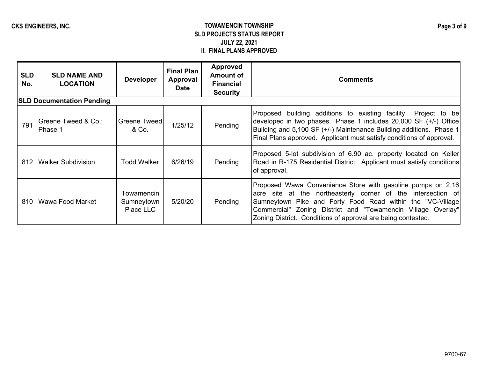### CKS ENGINEERS, INC. **TOWAMENCIN TOWNSHIP SLD PROJECTS STATUS REPORT JULY 22, 2021 II. FINAL PLANS APPROVED**

| <b>SLD</b><br>No. | <b>SLD NAME AND</b><br><b>LOCATION</b> | <b>Developer</b>                      | <b>Final Plan</b><br>Approval<br><b>Date</b> | <b>Approved</b><br><b>Amount of</b><br><b>Financial</b><br><b>Security</b> | <b>Comments</b>                                                                                                                                                                                                                                                                                                           |  |  |  |  |  |
|-------------------|----------------------------------------|---------------------------------------|----------------------------------------------|----------------------------------------------------------------------------|---------------------------------------------------------------------------------------------------------------------------------------------------------------------------------------------------------------------------------------------------------------------------------------------------------------------------|--|--|--|--|--|
|                   | <b>SLD Documentation Pending</b>       |                                       |                                              |                                                                            |                                                                                                                                                                                                                                                                                                                           |  |  |  |  |  |
| 791               | Greene Tweed & Co.:<br>lPhase 1        | <b>Greene Tweed</b><br>& Co.          | 1/25/12                                      | Pending                                                                    | Proposed building additions to existing facility. Project to be<br>developed in two phases. Phase 1 includes 20,000 SF (+/-) Office<br>Building and 5,100 SF (+/-) Maintenance Building additions. Phase 1<br>Final Plans approved. Applicant must satisfy conditions of approval.                                        |  |  |  |  |  |
| 812               | <b>IWalker Subdivision</b>             | <b>Todd Walker</b>                    | 6/26/19                                      | Pending                                                                    | Proposed 5-lot subdivision of 6.90 ac. property located on Keller<br>Road in R-175 Residential District. Applicant must satisfy conditions<br>of approval.                                                                                                                                                                |  |  |  |  |  |
| 810               | <b>IWawa Food Market</b>               | Towamencin<br>Sumneytown<br>Place LLC | 5/20/20                                      | Pending                                                                    | Proposed Wawa Convenience Store with gasoline pumps on 2.16<br>acre site at the northeasterly corner of the intersection of<br>Sumneytown Pike and Forty Food Road within the "VC-Village<br>Commercial" Zoning District and "Towamencin Village Overlay"<br>Zoning District. Conditions of approval are being contested. |  |  |  |  |  |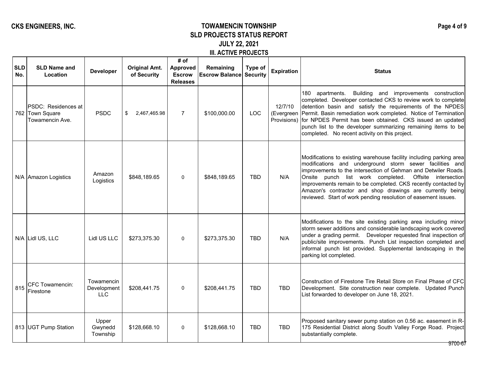### CKS ENGINEERS, INC. **TOWAMENCIN TOWNSHIP SLD PROJECTS STATUS REPORT JULY 22, 2021 III. ACTIVE PROJECTS**

| <b>SLD</b><br>No. | <b>SLD Name and</b><br>Location                           | <b>Developer</b>                        | <b>Original Amt.</b><br>of Security | # of<br><b>Approved</b><br><b>Escrow</b><br><b>Releases</b> | Remaining<br><b>Escrow Balance Security</b> | Type of    | <b>Expiration</b> | <b>Status</b>                                                                                                                                                                                                                                                                                                                                                                                                                                                      |
|-------------------|-----------------------------------------------------------|-----------------------------------------|-------------------------------------|-------------------------------------------------------------|---------------------------------------------|------------|-------------------|--------------------------------------------------------------------------------------------------------------------------------------------------------------------------------------------------------------------------------------------------------------------------------------------------------------------------------------------------------------------------------------------------------------------------------------------------------------------|
|                   | PSDC: Residences at<br>762 Town Square<br>Towamencin Ave. | <b>PSDC</b>                             | 2,467,465.98<br>\$                  | $\overline{7}$                                              | \$100,000.00                                | <b>LOC</b> | 12/7/10           | 180 apartments.<br>Building and improvements construction<br>completed. Developer contacted CKS to review work to complete<br>detention basin and satisfy the requirements of the NPDES<br>(Evergreen Permit. Basin remediation work completed. Notice of Termination<br>Provisions) for NPDES Permit has been obtained. CKS issued an updated<br>punch list to the developer summarizing remaining items to be<br>completed. No recent activity on this project.  |
|                   | N/A Amazon Logistics                                      | Amazon<br>Logistics                     | \$848,189.65                        | $\Omega$                                                    | \$848,189.65                                | <b>TBD</b> | N/A               | Modifications to existing warehouse facility including parking area<br>modifications and underground storm sewer facilities and<br>improvements to the intersection of Gehman and Detwiler Roads.<br>punch list work completed.<br>Offsite intersection<br>Onsite<br>improvements remain to be completed. CKS recently contacted by<br>Amazon's contractor and shop drawings are currently being<br>reviewed. Start of work pending resolution of easement issues. |
|                   | N/A Lidl US, LLC                                          | Lidl US LLC                             | \$273,375.30                        | $\Omega$                                                    | \$273,375.30                                | <b>TBD</b> | N/A               | Modifications to the site existing parking area including minor<br>storm sewer additions and considerable landscaping work covered<br>under a grading permit.  Developer requested final inspection of<br>public/site improvements. Punch List inspection completed and<br>informal punch list provided. Supplemental landscaping in the<br>parking lot completed.                                                                                                 |
| 815               | <b>CFC Towamencin:</b><br>Firestone                       | Towamencin<br>Development<br><b>LLC</b> | \$208,441.75                        | 0                                                           | \$208,441.75                                | <b>TBD</b> | <b>TBD</b>        | Construction of Firestone Tire Retail Store on Final Phase of CFC<br>Development. Site construction near complete. Updated Punch<br>List forwarded to developer on June 18, 2021.                                                                                                                                                                                                                                                                                  |
|                   | 813 UGT Pump Station                                      | Upper<br>Gwynedd<br>Township            | \$128,668.10                        | $\Omega$                                                    | \$128,668.10                                | <b>TBD</b> | <b>TBD</b>        | Proposed sanitary sewer pump station on 0.56 ac. easement in R-<br>175 Residential District along South Valley Forge Road. Project<br>substantially complete.<br>9700-67                                                                                                                                                                                                                                                                                           |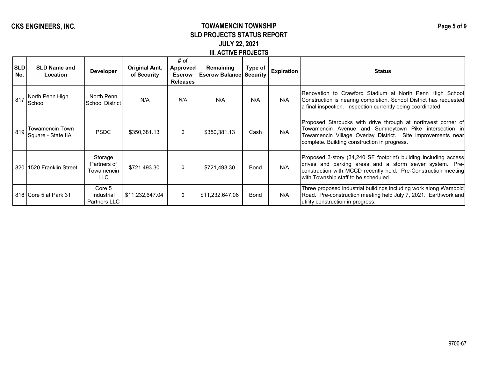### CKS ENGINEERS, INC. **TOWAMENCIN TOWNSHIP SLD PROJECTS STATUS REPORT JULY 22, 2021 III. ACTIVE PROJECTS**

| <b>SLD</b><br>No. | <b>SLD Name and</b><br>Location        | <b>Developer</b>                            | <b>Original Amt.</b><br>of Security | # of<br>Approved<br><b>Escrow</b><br><b>Releases</b> | Remaining<br><b>Escrow Balance Security</b> | Type of     | <b>Expiration</b> | <b>Status</b>                                                                                                                                                                                                                         |
|-------------------|----------------------------------------|---------------------------------------------|-------------------------------------|------------------------------------------------------|---------------------------------------------|-------------|-------------------|---------------------------------------------------------------------------------------------------------------------------------------------------------------------------------------------------------------------------------------|
| 817               | North Penn High<br>School              | North Penn<br>School District               | N/A                                 | N/A                                                  | N/A                                         | N/A         | N/A               | Renovation to Crawford Stadium at North Penn High School<br>Construction is nearing completion. School District has requested<br>a final inspection. Inspection currently being coordinated.                                          |
| 819               | Towamencin Town<br> Square - State IIA | <b>PSDC</b>                                 | \$350,381.13                        | $\mathbf{0}$                                         | \$350,381.13                                | Cash        | N/A               | Proposed Starbucks with drive through at northwest corner of<br>Towamencin Avenue and Sumneytown Pike intersection in<br>Towamencin Village Overlay District. Site improvements near<br>complete. Building construction in progress.  |
|                   | 820 1520 Franklin Street               | Storage<br>Partners of<br>Towamencin<br>LLC | \$721,493.30                        | $\Omega$                                             | \$721,493.30                                | <b>Bond</b> | N/A               | Proposed 3-story (34,240 SF footprint) building including access<br>drives and parking areas and a storm sewer system. Pre-<br>construction with MCCD recently held. Pre-Construction meeting<br>with Township staff to be scheduled. |
|                   | 818 Core 5 at Park 31                  | Core 5<br><b>Industrial</b><br>Partners LLC | \$11,232,647.04                     | $\Omega$                                             | \$11,232,647.06                             | Bond        | N/A               | Three proposed industrial buildings including work along Wambold<br>Road. Pre-construction meeting held July 7, 2021. Earthwork and<br>utility construction in progress.                                                              |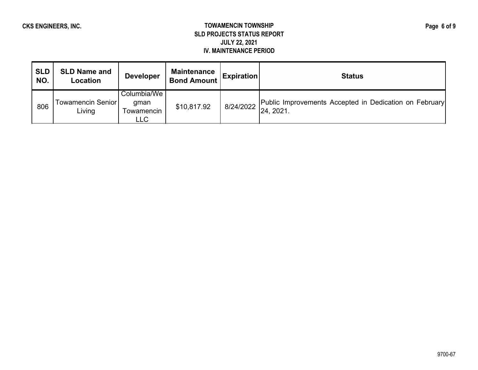#### **CKS ENGINEERS, INC. TOWAMENCIN TOWNSHIP SLD PROJECTS STATUS REPORT JULY 22, 2021 IV. MAINTENANCE PERIOD**

| <b>SLD</b><br>NO. | <b>SLD Name and</b><br>Location | <b>Developer</b>                                | Maintenance  <br><b>Bond Amount</b> | <b>Expiration</b> | <b>Status</b>                                                       |
|-------------------|---------------------------------|-------------------------------------------------|-------------------------------------|-------------------|---------------------------------------------------------------------|
| 806               | Towamencin Senior<br>Living     | Columbia/We<br>gman<br>Towamencin<br><b>LLC</b> | \$10,817.92                         | 8/24/2022         | Public Improvements Accepted in Dedication on February<br>24, 2021. |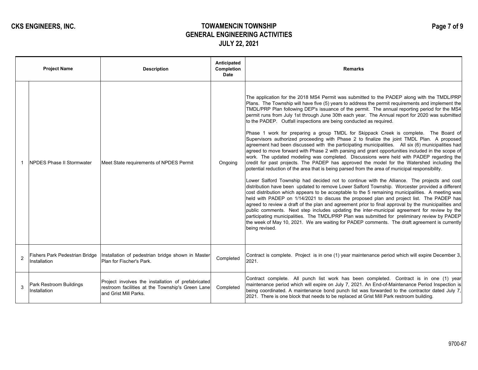# **CKS ENGINEERS, INC. TOWAMENCIN TOWNSHIP GENERAL ENGINEERING ACTIVITIES JULY 22, 2021**

|                | <b>Project Name</b>                            | <b>Description</b>                                                                                                              | Anticipated<br>Completion<br><b>Date</b> | <b>Remarks</b>                                                                                                                                                                                                                                                                                                                                                                                                                                                                                                                                                                                                                                                                                                                                                                                                                                                                                                                                                                                                                                                                                                                                                                                                                                                                                                                                                                                                                                                                                                                                                                                                                                                                                                                                                                                                                                                                                                                                                                                          |
|----------------|------------------------------------------------|---------------------------------------------------------------------------------------------------------------------------------|------------------------------------------|---------------------------------------------------------------------------------------------------------------------------------------------------------------------------------------------------------------------------------------------------------------------------------------------------------------------------------------------------------------------------------------------------------------------------------------------------------------------------------------------------------------------------------------------------------------------------------------------------------------------------------------------------------------------------------------------------------------------------------------------------------------------------------------------------------------------------------------------------------------------------------------------------------------------------------------------------------------------------------------------------------------------------------------------------------------------------------------------------------------------------------------------------------------------------------------------------------------------------------------------------------------------------------------------------------------------------------------------------------------------------------------------------------------------------------------------------------------------------------------------------------------------------------------------------------------------------------------------------------------------------------------------------------------------------------------------------------------------------------------------------------------------------------------------------------------------------------------------------------------------------------------------------------------------------------------------------------------------------------------------------------|
|                | NPDES Phase II Stormwater                      | Meet State requirements of NPDES Permit                                                                                         | Ongoing                                  | The application for the 2018 MS4 Permit was submitted to the PADEP along with the TMDL/PRP<br>Plans. The Township will have five (5) years to address the permit requirements and implement the<br>TMDL/PRP Plan following DEP's issuance of the permit. The annual reporting period for the MS4<br>permit runs from July 1st through June 30th each year. The Annual report for 2020 was submitted<br>to the PADEP. Outfall inspections are being conducted as required.<br>Phase 1 work for preparing a group TMDL for Skippack Creek is complete. The Board of<br>Supervisors authorized proceeding with Phase 2 to finalize the joint TMDL Plan. A proposed<br>agreement had been discussed with the participating municipalities. All six (6) municipalities had<br>agreed to move forward with Phase 2 with parsing and grant opportunities included in the scope of<br>work. The updated modeling was completed. Discussions were held with PADEP regarding the<br>credit for past projects. The PADEP has approved the model for the Watershed including the<br>potential reduction of the area that is being parsed from the area of municipal responsibility.<br>Lower Salford Township had decided not to continue with the Alliance. The projects and cost<br>distribution have been updated to remove Lower Salford Township. Worcester provided a different<br>cost distribution which appears to be acceptable to the 5 remaining municipalities. A meeting was<br>held with PADEP on 1/14/2021 to discuss the proposed plan and project list. The PADEP has<br>agreed to review a draft of the plan and agreement prior to final approval by the municipalities and<br>public comments. Next step includes updating the inter-municipal agreement for review by the<br>participating municipalities. The TMDL/PRP Plan was submitted for preliminary review by PADEP<br>the week of May 10, 2021. We are waiting for PADEP comments. The draft agreement is currently<br>being revised. |
| $\overline{2}$ | Fishers Park Pedestrian Bridge<br>Installation | Installation of pedestrian bridge shown in Master<br>Plan for Fischer's Park.                                                   | Completed                                | Contract is complete. Project is in one (1) year maintenance period which will expire December 3,<br>2021.                                                                                                                                                                                                                                                                                                                                                                                                                                                                                                                                                                                                                                                                                                                                                                                                                                                                                                                                                                                                                                                                                                                                                                                                                                                                                                                                                                                                                                                                                                                                                                                                                                                                                                                                                                                                                                                                                              |
| 3              | Park Restroom Buildings<br>Installation        | Project involves the installation of prefabricated<br>restroom facilities at the Township's Green Lane<br>and Grist Mill Parks. | Completed                                | Contract complete. All punch list work has been completed. Contract is in one (1) year<br>maintenance period which will expire on July 7, 2021. An End-of-Maintenance Period Inspection is<br>being coordinated. A maintenance bond punch list was forwarded to the contractor dated July 7,<br>2021. There is one block that needs to be replaced at Grist Mill Park restroom building.                                                                                                                                                                                                                                                                                                                                                                                                                                                                                                                                                                                                                                                                                                                                                                                                                                                                                                                                                                                                                                                                                                                                                                                                                                                                                                                                                                                                                                                                                                                                                                                                                |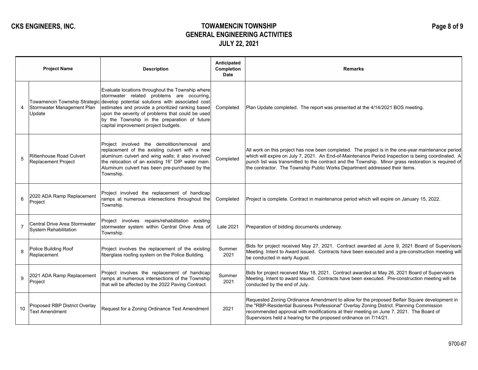## **CKS ENGINEERS, INC. TOWAMENCIN TOWNSHIP GENERAL ENGINEERING ACTIVITIES JULY 22, 2021**

|                | <b>Project Name</b>                                                   | <b>Description</b>                                                                                                                                                                                                                                                                                                                                  | Anticipated<br>Completion<br><b>Date</b> | <b>Remarks</b>                                                                                                                                                                                                                                                                                                                                                                                 |
|----------------|-----------------------------------------------------------------------|-----------------------------------------------------------------------------------------------------------------------------------------------------------------------------------------------------------------------------------------------------------------------------------------------------------------------------------------------------|------------------------------------------|------------------------------------------------------------------------------------------------------------------------------------------------------------------------------------------------------------------------------------------------------------------------------------------------------------------------------------------------------------------------------------------------|
| 4              | Towamencin Township Strategic<br>Stormwater Management Plan<br>Update | Evaluate locations throughout the Township where<br>stormwater related problems are occurring,<br>develop potential solutions with associated cost<br>estimates and provide a prioritized ranking based<br>upon the severity of problems that could be used<br>by the Township in the preparation of future<br>capital improvement project budgets. | Completed                                | Plan Update completed. The report was presented at the 4/14/2021 BOS meeting.                                                                                                                                                                                                                                                                                                                  |
| 5              | <b>Rittenhouse Road Culvert</b><br><b>Replacement Project</b>         | Project involved the demolition/removal and<br>replacement of the existing culvert with a new<br>aluminum culvert and wing walls; it also involved<br>the relocation of an existing 16" DIP water main.<br>Aluminum culvert has been pre-purchased by the<br>Township.                                                                              | Completed                                | All work on this project has now been completed. The project is in the one-year maintenance period<br>which will expire on July 7, 2021. An End-of-Maintenance Period Inspection is being coordinated. A<br>punch list was transmitted to the contract and the Township. Minor grass restoration is required of<br>the contractor. The Township Public Works Department addressed their items. |
| 6              | 2020 ADA Ramp Replacement<br>Project                                  | Project involved the replacement of handicap<br>ramps at numerous intersections throughout the<br>Township.                                                                                                                                                                                                                                         | Completed                                | Project is complete. Contract in maintenance period which will expire on January 15, 2022.                                                                                                                                                                                                                                                                                                     |
| $\overline{7}$ | Central Drive Area Stormwater<br><b>System Rehabilitation</b>         | Project involves repairs/rehabilitation existing<br>stormwater system within Central Drive Area of<br>Township.                                                                                                                                                                                                                                     | Late 2021                                | Preparation of bidding documents underway.                                                                                                                                                                                                                                                                                                                                                     |
| 8              | Police Building Roof<br>Replacement                                   | Project involves the replacement of the existing<br>fiberglass roofing system on the Police Building.                                                                                                                                                                                                                                               | Summer<br>2021                           | Bids for project received May 27, 2021. Contract awarded at June 9, 2021 Board of Supervisors<br>Meeting. Intent to Award issued. Contracts have been executed and a pre-construction meeting will<br>be conducted in early August.                                                                                                                                                            |
| 9              | 2021 ADA Ramp Replacement<br>Project                                  | Project involves the replacement of handicap<br>ramps at numerous intersections of the Township<br>that will be affected by the 2022 Paving Contract.                                                                                                                                                                                               | Summer<br>2021                           | Bids for project received May 18, 2021. Contract awarded at May 26, 2021 Board of Supervisors<br>Meeting. Intent to award issued. Contracts have been executed. Pre-construction meeting will be<br>conducted by the end of July.                                                                                                                                                              |
| 10             | Proposed RBP District Overlay<br><b>Text Amendment</b>                | Request for a Zoning Ordinance Text Amendment                                                                                                                                                                                                                                                                                                       | 2021                                     | Requested Zoning Ordinance Amendment to allow for the proposed Belfair Square development in<br>the "RBP-Residential Business Professional" Overlay Zoning District. Planning Commission<br>recommended approval with modifications at their meeting on June 7, 2021. The Board of<br>Supervisors held a hearing for the proposed ordinance on 7/14/21.                                        |